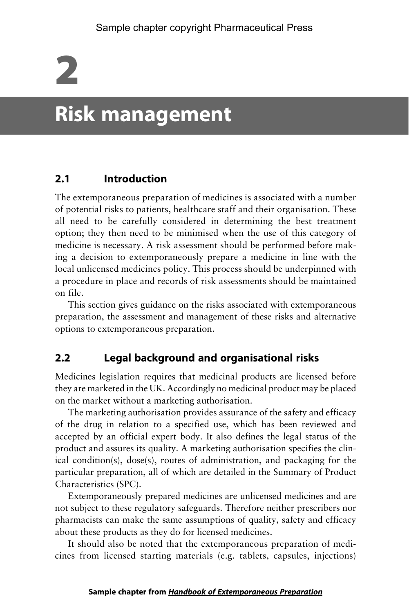# 2

# Risk management

# 2.1 Introduction

The extemporaneous preparation of medicines is associated with a number of potential risks to patients, healthcare staff and their organisation. These all need to be carefully considered in determining the best treatment option; they then need to be minimised when the use of this category of medicine is necessary. A risk assessment should be performed before making a decision to extemporaneously prepare a medicine in line with the local unlicensed medicines policy. This process should be underpinned with a procedure in place and records of risk assessments should be maintained on file.

This section gives guidance on the risks associated with extemporaneous preparation, the assessment and management of these risks and alternative options to extemporaneous preparation.

# 2.2 Legal background and organisational risks

Medicines legislation requires that medicinal products are licensed before they are marketed in the UK. Accordingly no medicinal product may be placed on the market without a marketing authorisation.

The marketing authorisation provides assurance of the safety and efficacy of the drug in relation to a specified use, which has been reviewed and accepted by an official expert body. It also defines the legal status of the product and assures its quality. A marketing authorisation specifies the clinical condition(s), dose(s), routes of administration, and packaging for the particular preparation, all of which are detailed in the Summary of Product Characteristics (SPC).

Extemporaneously prepared medicines are unlicensed medicines and are not subject to these regulatory safeguards. Therefore neither prescribers nor pharmacists can make the same assumptions of quality, safety and efficacy about these products as they do for licensed medicines.

It should also be noted that the extemporaneous preparation of medicines from licensed starting materials (e.g. tablets, capsules, injections)

#### Sample chapter from [Handbook of Extemporaneous Preparation](http://www.pharmpress.com/product/9780853699019/handbook-of-extemporaneous-preparation?utm_source=pharmpress&utm_medium=pdf&utm_campaign=sample_chapter)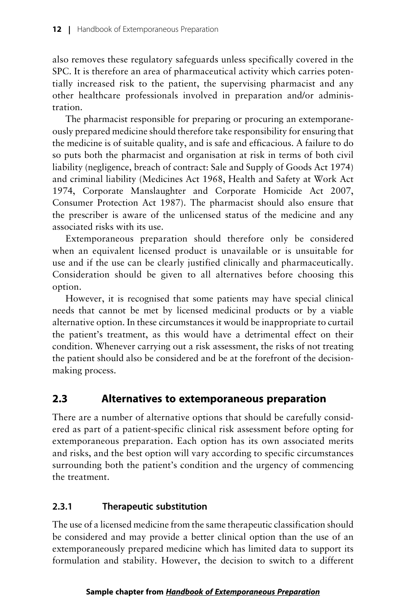also removes these regulatory safeguards unless specifically covered in the SPC. It is therefore an area of pharmaceutical activity which carries potentially increased risk to the patient, the supervising pharmacist and any other healthcare professionals involved in preparation and/or administration.

The pharmacist responsible for preparing or procuring an extemporaneously prepared medicine should therefore take responsibility for ensuring that the medicine is of suitable quality, and is safe and efficacious. A failure to do so puts both the pharmacist and organisation at risk in terms of both civil liability (negligence, breach of contract: Sale and Supply of Goods Act 1974) and criminal liability (Medicines Act 1968, Health and Safety at Work Act 1974, Corporate Manslaughter and Corporate Homicide Act 2007, Consumer Protection Act 1987). The pharmacist should also ensure that the prescriber is aware of the unlicensed status of the medicine and any associated risks with its use.

Extemporaneous preparation should therefore only be considered when an equivalent licensed product is unavailable or is unsuitable for use and if the use can be clearly justified clinically and pharmaceutically. Consideration should be given to all alternatives before choosing this option.

However, it is recognised that some patients may have special clinical needs that cannot be met by licensed medicinal products or by a viable alternative option. In these circumstances it would be inappropriate to curtail the patient's treatment, as this would have a detrimental effect on their condition. Whenever carrying out a risk assessment, the risks of not treating the patient should also be considered and be at the forefront of the decisionmaking process.

# 2.3 Alternatives to extemporaneous preparation

There are a number of alternative options that should be carefully considered as part of a patient-specific clinical risk assessment before opting for extemporaneous preparation. Each option has its own associated merits and risks, and the best option will vary according to specific circumstances surrounding both the patient's condition and the urgency of commencing the treatment.

#### 2.3.1 Therapeutic substitution

The use of a licensed medicine from the same therapeutic classification should be considered and may provide a better clinical option than the use of an extemporaneously prepared medicine which has limited data to support its formulation and stability. However, the decision to switch to a different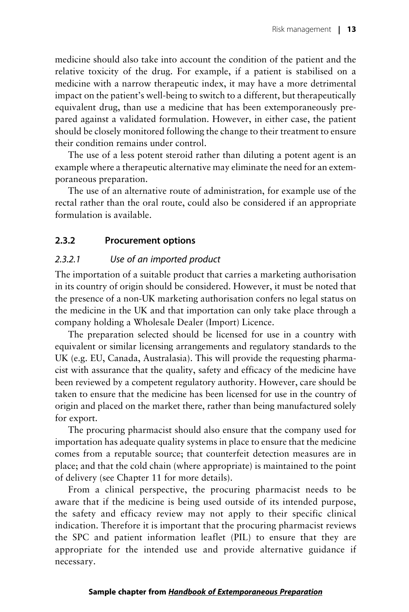medicine should also take into account the condition of the patient and the relative toxicity of the drug. For example, if a patient is stabilised on a medicine with a narrow therapeutic index, it may have a more detrimental impact on the patient's well-being to switch to a different, but therapeutically equivalent drug, than use a medicine that has been extemporaneously prepared against a validated formulation. However, in either case, the patient should be closely monitored following the change to their treatment to ensure their condition remains under control.

The use of a less potent steroid rather than diluting a potent agent is an example where a therapeutic alternative may eliminate the need for an extemporaneous preparation.

The use of an alternative route of administration, for example use of the rectal rather than the oral route, could also be considered if an appropriate formulation is available.

#### 2.3.2 Procurement options

#### 2.3.2.1 Use of an imported product

The importation of a suitable product that carries a marketing authorisation in its country of origin should be considered. However, it must be noted that the presence of a non-UK marketing authorisation confers no legal status on the medicine in the UK and that importation can only take place through a company holding a Wholesale Dealer (Import) Licence.

The preparation selected should be licensed for use in a country with equivalent or similar licensing arrangements and regulatory standards to the UK (e.g. EU, Canada, Australasia). This will provide the requesting pharmacist with assurance that the quality, safety and efficacy of the medicine have been reviewed by a competent regulatory authority. However, care should be taken to ensure that the medicine has been licensed for use in the country of origin and placed on the market there, rather than being manufactured solely for export.

The procuring pharmacist should also ensure that the company used for importation has adequate quality systems in place to ensure that the medicine comes from a reputable source; that counterfeit detection measures are in place; and that the cold chain (where appropriate) is maintained to the point of delivery (see Chapter 11 for more details).

From a clinical perspective, the procuring pharmacist needs to be aware that if the medicine is being used outside of its intended purpose, the safety and efficacy review may not apply to their specific clinical indication. Therefore it is important that the procuring pharmacist reviews the SPC and patient information leaflet (PIL) to ensure that they are appropriate for the intended use and provide alternative guidance if necessary.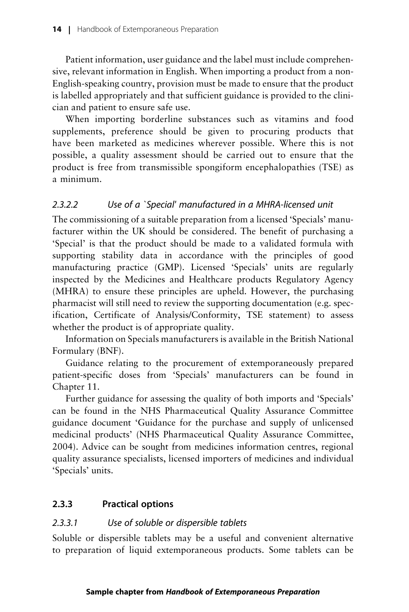Patient information, user guidance and the label must include comprehensive, relevant information in English. When importing a product from a non-English-speaking country, provision must be made to ensure that the product is labelled appropriately and that sufficient guidance is provided to the clinician and patient to ensure safe use.

When importing borderline substances such as vitamins and food supplements, preference should be given to procuring products that have been marketed as medicines wherever possible. Where this is not possible, a quality assessment should be carried out to ensure that the product is free from transmissible spongiform encephalopathies (TSE) as a minimum.

### 2.3.2.2 Use of a `Special' manufactured in a MHRA-licensed unit

The commissioning of a suitable preparation from a licensed 'Specials' manufacturer within the UK should be considered. The benefit of purchasing a 'Special' is that the product should be made to a validated formula with supporting stability data in accordance with the principles of good manufacturing practice (GMP). Licensed 'Specials' units are regularly inspected by the Medicines and Healthcare products Regulatory Agency (MHRA) to ensure these principles are upheld. However, the purchasing pharmacist will still need to review the supporting documentation (e.g. specification, Certificate of Analysis/Conformity, TSE statement) to assess whether the product is of appropriate quality.

Information on Specials manufacturers is available in the British National Formulary (BNF).

Guidance relating to the procurement of extemporaneously prepared patient-specific doses from 'Specials' manufacturers can be found in Chapter 11.

Further guidance for assessing the quality of both imports and 'Specials' can be found in the NHS Pharmaceutical Quality Assurance Committee guidance document 'Guidance for the purchase and supply of unlicensed medicinal products' (NHS [Pharmaceutical Quality Assurance Committee,](#page-11-0) [2004\)](#page-11-0). Advice can be sought from medicines information centres, regional quality assurance specialists, licensed importers of medicines and individual 'Specials' units.

#### 2.3.3 Practical options

#### 2.3.3.1 Use of soluble or dispersible tablets

Soluble or dispersible tablets may be a useful and convenient alternative to preparation of liquid extemporaneous products. Some tablets can be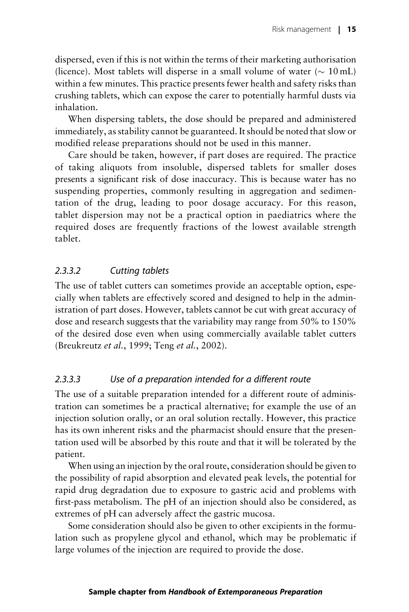dispersed, even if this is not within the terms of their marketing authorisation (licence). Most tablets will disperse in a small volume of water ( $\sim 10$  mL) within a few minutes. This practice presents fewer health and safety risks than crushing tablets, which can expose the carer to potentially harmful dusts via inhalation.

When dispersing tablets, the dose should be prepared and administered immediately, as stability cannot be guaranteed. It should be noted that slow or modified release preparations should not be used in this manner.

Care should be taken, however, if part doses are required. The practice of taking aliquots from insoluble, dispersed tablets for smaller doses presents a significant risk of dose inaccuracy. This is because water has no suspending properties, commonly resulting in aggregation and sedimentation of the drug, leading to poor dosage accuracy. For this reason, tablet dispersion may not be a practical option in paediatrics where the required doses are frequently fractions of the lowest available strength tablet.

# 2.3.3.2 Cutting tablets

The use of tablet cutters can sometimes provide an acceptable option, especially when tablets are effectively scored and designed to help in the administration of part doses. However, tablets cannot be cut with great accuracy of dose and research suggests that the variability may range from 50% to 150% of the desired dose even when using commercially available tablet cutters ([Breukreutz](#page-11-0) et al., 1999; Teng et al.[, 2002\)](#page-11-0).

# 2.3.3.3 Use of a preparation intended for a different route

The use of a suitable preparation intended for a different route of administration can sometimes be a practical alternative; for example the use of an injection solution orally, or an oral solution rectally. However, this practice has its own inherent risks and the pharmacist should ensure that the presentation used will be absorbed by this route and that it will be tolerated by the patient.

When using an injection by the oral route, consideration should be given to the possibility of rapid absorption and elevated peak levels, the potential for rapid drug degradation due to exposure to gastric acid and problems with first-pass metabolism. The pH of an injection should also be considered, as extremes of pH can adversely affect the gastric mucosa.

Some consideration should also be given to other excipients in the formulation such as propylene glycol and ethanol, which may be problematic if large volumes of the injection are required to provide the dose.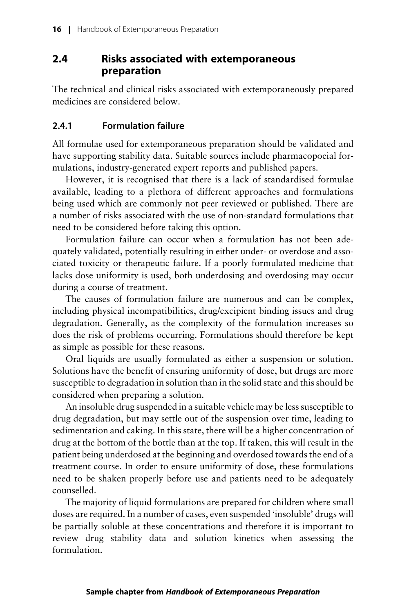# 2.4 Risks associated with extemporaneous preparation

The technical and clinical risks associated with extemporaneously prepared medicines are considered below.

#### 2.4.1 Formulation failure

All formulae used for extemporaneous preparation should be validated and have supporting stability data. Suitable sources include pharmacopoeial formulations, industry-generated expert reports and published papers.

However, it is recognised that there is a lack of standardised formulae available, leading to a plethora of different approaches and formulations being used which are commonly not peer reviewed or published. There are a number of risks associated with the use of non-standard formulations that need to be considered before taking this option.

Formulation failure can occur when a formulation has not been adequately validated, potentially resulting in either under- or overdose and associated toxicity or therapeutic failure. If a poorly formulated medicine that lacks dose uniformity is used, both underdosing and overdosing may occur during a course of treatment.

The causes of formulation failure are numerous and can be complex, including physical incompatibilities, drug/excipient binding issues and drug degradation. Generally, as the complexity of the formulation increases so does the risk of problems occurring. Formulations should therefore be kept as simple as possible for these reasons.

Oral liquids are usually formulated as either a suspension or solution. Solutions have the benefit of ensuring uniformity of dose, but drugs are more susceptible to degradation in solution than in the solid state and this should be considered when preparing a solution.

An insoluble drug suspended in a suitable vehicle may be less susceptible to drug degradation, but may settle out of the suspension over time, leading to sedimentation and caking. In this state, there will be a higher concentration of drug at the bottom of the bottle than at the top. If taken, this will result in the patient being underdosed at the beginning and overdosed towards the end of a treatment course. In order to ensure uniformity of dose, these formulations need to be shaken properly before use and patients need to be adequately counselled.

The majority of liquid formulations are prepared for children where small doses are required. In a number of cases, even suspended 'insoluble' drugs will be partially soluble at these concentrations and therefore it is important to review drug stability data and solution kinetics when assessing the formulation.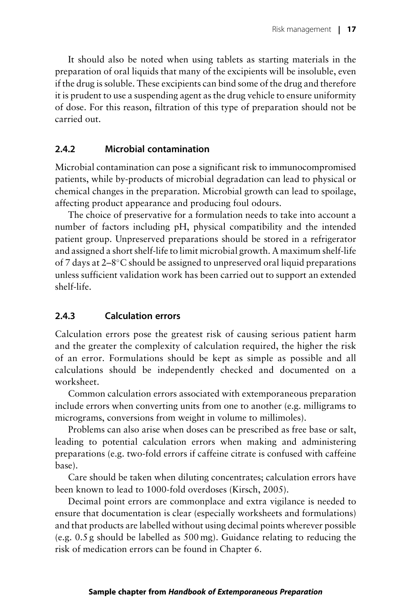It should also be noted when using tablets as starting materials in the preparation of oral liquids that many of the excipients will be insoluble, even if the drug is soluble. These excipients can bind some of the drug and therefore it is prudent to use a suspending agent as the drug vehicle to ensure uniformity of dose. For this reason, filtration of this type of preparation should not be carried out.

#### 2.4.2 Microbial contamination

Microbial contamination can pose a significant risk to immunocompromised patients, while by-products of microbial degradation can lead to physical or chemical changes in the preparation. Microbial growth can lead to spoilage, affecting product appearance and producing foul odours.

The choice of preservative for a formulation needs to take into account a number of factors including pH, physical compatibility and the intended patient group. Unpreserved preparations should be stored in a refrigerator and assigned a short shelf-life to limit microbial growth. A maximum shelf-life of 7 days at  $2-8$ °C should be assigned to unpreserved oral liquid preparations unless sufficient validation work has been carried out to support an extended shelf-life.

#### 2.4.3 Calculation errors

Calculation errors pose the greatest risk of causing serious patient harm and the greater the complexity of calculation required, the higher the risk of an error. Formulations should be kept as simple as possible and all calculations should be independently checked and documented on a worksheet.

Common calculation errors associated with extemporaneous preparation include errors when converting units from one to another (e.g. milligrams to micrograms, conversions from weight in volume to millimoles).

Problems can also arise when doses can be prescribed as free base or salt, leading to potential calculation errors when making and administering preparations (e.g. two-fold errors if caffeine citrate is confused with caffeine base).

Care should be taken when diluting concentrates; calculation errors have been known to lead to 1000-fold overdoses [\(Kirsch, 2005\)](#page-11-0).

Decimal point errors are commonplace and extra vigilance is needed to ensure that documentation is clear (especially worksheets and formulations) and that products are labelled without using decimal points wherever possible (e.g. 0.5 g should be labelled as 500 mg). Guidance relating to reducing the risk of medication errors can be found in Chapter 6.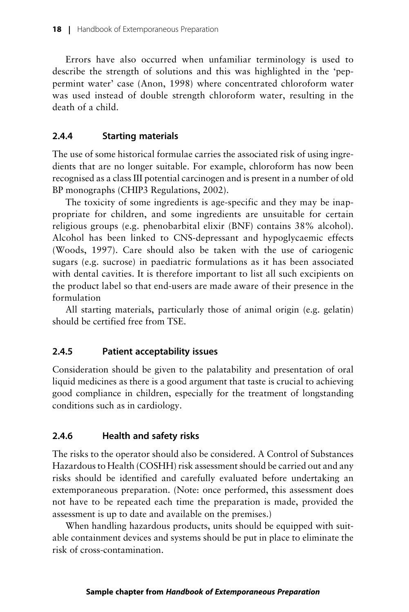Errors have also occurred when unfamiliar terminology is used to describe the strength of solutions and this was highlighted in the 'peppermint water' case [\(Anon, 1998\)](#page-11-0) where concentrated chloroform water was used instead of double strength chloroform water, resulting in the death of a child.

#### 2.4.4 Starting materials

The use of some historical formulae carries the associated risk of using ingredients that are no longer suitable. For example, chloroform has now been recognised as a class III potential carcinogen and is present in a number of old BP monographs ([CHIP3 Regulations, 2002\)](#page-11-0).

The toxicity of some ingredients is age-specific and they may be inappropriate for children, and some ingredients are unsuitable for certain religious groups (e.g. phenobarbital elixir (BNF) contains 38% alcohol). Alcohol has been linked to CNS-depressant and hypoglycaemic effects [\(Woods, 1997](#page-11-0)). Care should also be taken with the use of cariogenic sugars (e.g. sucrose) in paediatric formulations as it has been associated with dental cavities. It is therefore important to list all such excipients on the product label so that end-users are made aware of their presence in the formulation

All starting materials, particularly those of animal origin (e.g. gelatin) should be certified free from TSE.

#### 2.4.5 Patient acceptability issues

Consideration should be given to the palatability and presentation of oral liquid medicines as there is a good argument that taste is crucial to achieving good compliance in children, especially for the treatment of longstanding conditions such as in cardiology.

#### 2.4.6 Health and safety risks

The risks to the operator should also be considered. A Control of Substances Hazardous to Health (COSHH) risk assessment should be carried out and any risks should be identified and carefully evaluated before undertaking an extemporaneous preparation. (Note: once performed, this assessment does not have to be repeated each time the preparation is made, provided the assessment is up to date and available on the premises.)

When handling hazardous products, units should be equipped with suitable containment devices and systems should be put in place to eliminate the risk of cross-contamination.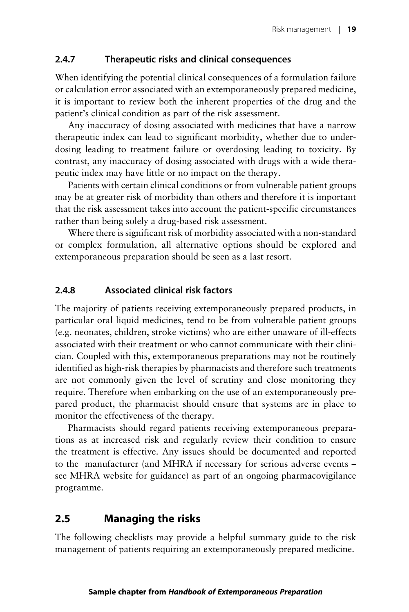#### 2.4.7 Therapeutic risks and clinical consequences

When identifying the potential clinical consequences of a formulation failure or calculation error associated with an extemporaneously prepared medicine, it is important to review both the inherent properties of the drug and the patient's clinical condition as part of the risk assessment.

Any inaccuracy of dosing associated with medicines that have a narrow therapeutic index can lead to significant morbidity, whether due to underdosing leading to treatment failure or overdosing leading to toxicity. By contrast, any inaccuracy of dosing associated with drugs with a wide therapeutic index may have little or no impact on the therapy.

Patients with certain clinical conditions or from vulnerable patient groups may be at greater risk of morbidity than others and therefore it is important that the risk assessment takes into account the patient-specific circumstances rather than being solely a drug-based risk assessment.

Where there is significant risk of morbidity associated with a non-standard or complex formulation, all alternative options should be explored and extemporaneous preparation should be seen as a last resort.

#### 2.4.8 Associated clinical risk factors

The majority of patients receiving extemporaneously prepared products, in particular oral liquid medicines, tend to be from vulnerable patient groups (e.g. neonates, children, stroke victims) who are either unaware of ill-effects associated with their treatment or who cannot communicate with their clinician. Coupled with this, extemporaneous preparations may not be routinely identified as high-risk therapies by pharmacists and therefore such treatments are not commonly given the level of scrutiny and close monitoring they require. Therefore when embarking on the use of an extemporaneously prepared product, the pharmacist should ensure that systems are in place to monitor the effectiveness of the therapy.

Pharmacists should regard patients receiving extemporaneous preparations as at increased risk and regularly review their condition to ensure the treatment is effective. Any issues should be documented and reported to the manufacturer (and MHRA if necessary for serious adverse events – see MHRA website for guidance) as part of an ongoing pharmacovigilance programme.

#### 2.5 Managing the risks

The following checklists may provide a helpful summary guide to the risk management of patients requiring an extemporaneously prepared medicine.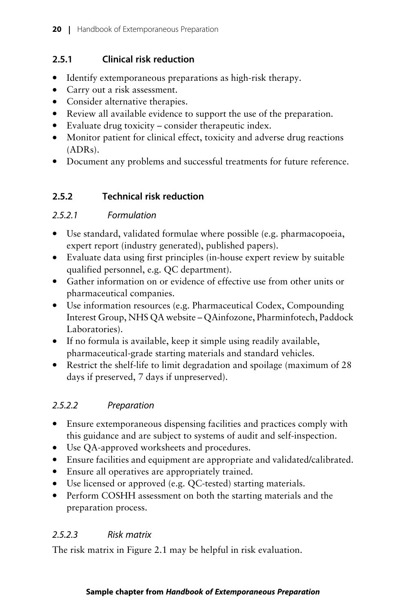### 2.5.1 Clinical risk reduction

- Identify extemporaneous preparations as high-risk therapy.
- Carry out a risk assessment.
- Consider alternative therapies.
- Review all available evidence to support the use of the preparation.
- Evaluate drug toxicity consider therapeutic index.
- Monitor patient for clinical effect, toxicity and adverse drug reactions (ADRs).
- \* Document any problems and successful treatments for future reference.

# 2.5.2 Technical risk reduction

### 2.5.2.1 Formulation

- \* Use standard, validated formulae where possible (e.g. pharmacopoeia, expert report (industry generated), published papers).
- \* Evaluate data using first principles (in-house expert review by suitable qualified personnel, e.g. QC department).
- \* Gather information on or evidence of effective use from other units or pharmaceutical companies.
- Use information resources (e.g. Pharmaceutical Codex, Compounding Interest Group, NHS QA website – QAinfozone, Pharminfotech, Paddock Laboratories).
- If no formula is available, keep it simple using readily available, pharmaceutical-grade starting materials and standard vehicles.
- Restrict the shelf-life to limit degradation and spoilage (maximum of  $28$ ) days if preserved, 7 days if unpreserved).

# 2.5.2.2 Preparation

- \* Ensure extemporaneous dispensing facilities and practices comply with this guidance and are subject to systems of audit and self-inspection.
- Use QA-approved worksheets and procedures.
- \* Ensure facilities and equipment are appropriate and validated/calibrated.
- Ensure all operatives are appropriately trained.
- Use licensed or approved (e.g. QC-tested) starting materials.
- Perform COSHH assessment on both the starting materials and the preparation process.

# 2.5.2.3 Risk matrix

The risk matrix in [Figure 2.1](#page-10-0) may be helpful in risk evaluation.

#### Sample chapter from Handbook of Extemporaneous Preparation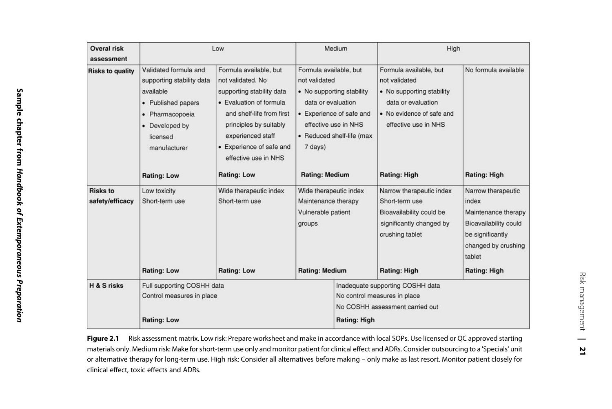<span id="page-10-0"></span>

| <b>Overal risk</b><br>assessment   | Low                                                                                                                                                    |                                                                                                                                                                                                                                     | Medium                                                                                                                                                                   |                                                                                                                                                                             | High                                                                                                                                            |                                                                                                                                  |
|------------------------------------|--------------------------------------------------------------------------------------------------------------------------------------------------------|-------------------------------------------------------------------------------------------------------------------------------------------------------------------------------------------------------------------------------------|--------------------------------------------------------------------------------------------------------------------------------------------------------------------------|-----------------------------------------------------------------------------------------------------------------------------------------------------------------------------|-------------------------------------------------------------------------------------------------------------------------------------------------|----------------------------------------------------------------------------------------------------------------------------------|
| <b>Risks to quality</b>            | Validated formula and<br>supporting stability data<br>available<br>• Published papers<br>• Pharmacopoeia<br>• Developed by<br>licensed<br>manufacturer | Formula available, but<br>not validated. No<br>supporting stability data<br>• Evaluation of formula<br>and shelf-life from first<br>principles by suitably<br>experienced staff<br>• Experience of safe and<br>effective use in NHS |                                                                                                                                                                          | Formula available, but<br>not validated<br>• No supporting stability<br>data or evaluation<br>• Experience of safe and<br>effective use in NHS<br>• Reduced shelf-life (max | Formula available, but<br>not validated<br>• No supporting stability<br>data or evaluation<br>• No evidence of safe and<br>effective use in NHS | No formula available                                                                                                             |
|                                    | <b>Rating: Low</b>                                                                                                                                     | <b>Rating: Low</b>                                                                                                                                                                                                                  | <b>Rating: Medium</b>                                                                                                                                                    |                                                                                                                                                                             | <b>Rating: High</b>                                                                                                                             | <b>Rating: High</b>                                                                                                              |
| <b>Risks to</b><br>safety/efficacy | Low toxicity<br>Short-term use                                                                                                                         | Wide therapeutic index<br>Short-term use                                                                                                                                                                                            | Wide therapeutic index<br>Maintenance therapy<br>Vulnerable patient<br>groups                                                                                            |                                                                                                                                                                             | Narrow therapeutic index<br>Short-term use<br>Bioavailability could be<br>significantly changed by<br>crushing tablet                           | Narrow therapeutic<br>index<br>Maintenance therapy<br>Bioavailability could<br>be significantly<br>changed by crushing<br>tablet |
| H & S risks                        | <b>Rating: Low</b><br><b>Rating: Medium</b><br><b>Rating: Low</b><br>Full supporting COSHH data<br>Control measures in place<br><b>Rating: Low</b>     |                                                                                                                                                                                                                                     | <b>Rating: High</b><br><b>Rating: High</b><br>Inadequate supporting COSHH data<br>No control measures in place<br>No COSHH assessment carried out<br><b>Rating: High</b> |                                                                                                                                                                             |                                                                                                                                                 |                                                                                                                                  |

Figure 2.1 Risk assessment matrix. Low risk: Prepare worksheet and make in accordance with local SOPs. Use licensed or QC approved starting materials only. Medium risk: Make for short-term use only and monitor patient for clinical effect and ADRs. Consider outsourcing to <sup>a</sup> 'Specials' unit or alternative therapy for long-term use. High risk: Consider all alternatives before making – only make as last resort. Monitor patient closely for clinical effect, toxic effects and ADRs.